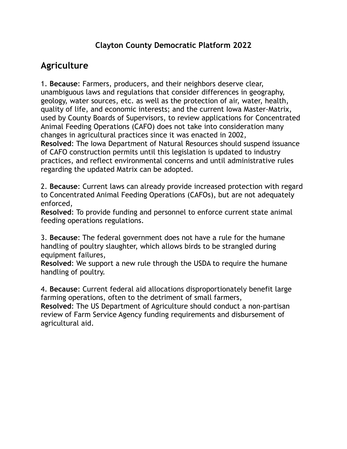#### **Clayton County Democratic Platform 2022**

## **Agriculture**

1. **Because**: Farmers, producers, and their neighbors deserve clear, unambiguous laws and regulations that consider differences in geography, geology, water sources, etc. as well as the protection of air, water, health, quality of life, and economic interests; and the current Iowa Master-Matrix, used by County Boards of Supervisors, to review applications for Concentrated Animal Feeding Operations (CAFO) does not take into consideration many changes in agricultural practices since it was enacted in 2002, **Resolved**: The Iowa Department of Natural Resources should suspend issuance of CAFO construction permits until this legislation is updated to industry practices, and reflect environmental concerns and until administrative rules regarding the updated Matrix can be adopted.

2. **Because**: Current laws can already provide increased protection with regard to Concentrated Animal Feeding Operations (CAFOs), but are not adequately enforced,

**Resolved**: To provide funding and personnel to enforce current state animal feeding operations regulations.

3. **Because**: The federal government does not have a rule for the humane handling of poultry slaughter, which allows birds to be strangled during equipment failures,

**Resolved**: We support a new rule through the USDA to require the humane handling of poultry.

4. **Because**: Current federal aid allocations disproportionately benefit large farming operations, often to the detriment of small farmers, **Resolved**: The US Department of Agriculture should conduct a non-partisan review of Farm Service Agency funding requirements and disbursement of agricultural aid.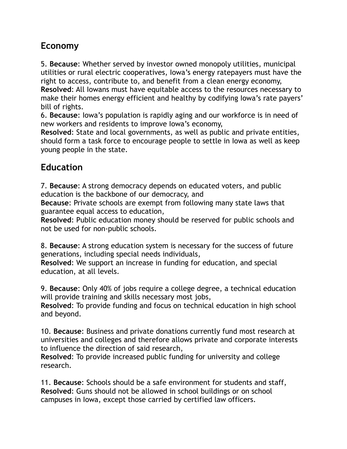## **Economy**

5. **Because**: Whether served by investor owned monopoly utilities, municipal utilities or rural electric cooperatives, Iowa's energy ratepayers must have the right to access, contribute to, and benefit from a clean energy economy, **Resolved**: All Iowans must have equitable access to the resources necessary to make their homes energy efficient and healthy by codifying Iowa's rate payers' bill of rights.

6. **Because**: Iowa's population is rapidly aging and our workforce is in need of new workers and residents to improve Iowa's economy,

**Resolved**: State and local governments, as well as public and private entities, should form a task force to encourage people to settle in Iowa as well as keep young people in the state.

### **Education**

7. **Because**: A strong democracy depends on educated voters, and public education is the backbone of our democracy, and

**Because**: Private schools are exempt from following many state laws that guarantee equal access to education,

**Resolved**: Public education money should be reserved for public schools and not be used for non-public schools.

8. **Because**: A strong education system is necessary for the success of future generations, including special needs individuals,

**Resolved**: We support an increase in funding for education, and special education, at all levels.

9. **Because**: Only 40% of jobs require a college degree, a technical education will provide training and skills necessary most jobs,

**Resolved**: To provide funding and focus on technical education in high school and beyond.

10. **Because**: Business and private donations currently fund most research at universities and colleges and therefore allows private and corporate interests to influence the direction of said research,

**Resolved**: To provide increased public funding for university and college research.

11. **Because**: Schools should be a safe environment for students and staff, **Resolved**: Guns should not be allowed in school buildings or on school campuses in Iowa, except those carried by certified law officers.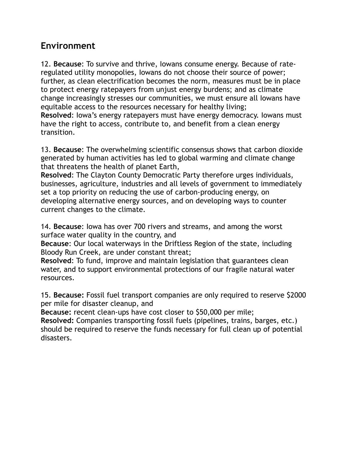#### **Environment**

12. **Because**: To survive and thrive, Iowans consume energy. Because of rateregulated utility monopolies, Iowans do not choose their source of power; further, as clean electrification becomes the norm, measures must be in place to protect energy ratepayers from unjust energy burdens; and as climate change increasingly stresses our communities, we must ensure all Iowans have equitable access to the resources necessary for healthy living; **Resolved**: Iowa's energy ratepayers must have energy democracy. Iowans must have the right to access, contribute to, and benefit from a clean energy transition.

13. **Because**: The overwhelming scientific consensus shows that carbon dioxide generated by human activities has led to global warming and climate change that threatens the health of planet Earth,

**Resolved**: The Clayton County Democratic Party therefore urges individuals, businesses, agriculture, industries and all levels of government to immediately set a top priority on reducing the use of carbon-producing energy, on developing alternative energy sources, and on developing ways to counter current changes to the climate.

14. **Because**: Iowa has over 700 rivers and streams, and among the worst surface water quality in the country, and

**Because**: Our local waterways in the Driftless Region of the state, including Bloody Run Creek, are under constant threat;

**Resolved**: To fund, improve and maintain legislation that guarantees clean water, and to support environmental protections of our fragile natural water resources.

15. **Because:** Fossil fuel transport companies are only required to reserve \$2000 per mile for disaster cleanup, and

**Because:** recent clean-ups have cost closer to \$50,000 per mile;

**Resolved:** Companies transporting fossil fuels (pipelines, trains, barges, etc.) should be required to reserve the funds necessary for full clean up of potential disasters.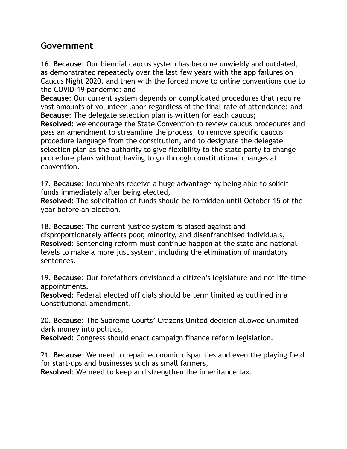#### **Government**

16. **Because**: Our biennial caucus system has become unwieldy and outdated, as demonstrated repeatedly over the last few years with the app failures on Caucus Night 2020, and then with the forced move to online conventions due to the COVID-19 pandemic; and

**Because**: Our current system depends on complicated procedures that require vast amounts of volunteer labor regardless of the final rate of attendance; and **Because**: The delegate selection plan is written for each caucus;

**Resolved**: we encourage the State Convention to review caucus procedures and pass an amendment to streamline the process, to remove specific caucus procedure language from the constitution, and to designate the delegate selection plan as the authority to give flexibility to the state party to change procedure plans without having to go through constitutional changes at convention.

17. **Because**: Incumbents receive a huge advantage by being able to solicit funds immediately after being elected,

**Resolved**: The solicitation of funds should be forbidden until October 15 of the year before an election.

18. **Because**: The current justice system is biased against and disproportionately affects poor, minority, and disenfranchised individuals, **Resolved**: Sentencing reform must continue happen at the state and national levels to make a more just system, including the elimination of mandatory sentences.

19. **Because**: Our forefathers envisioned a citizen's legislature and not life-time appointments,

**Resolved**: Federal elected officials should be term limited as outlined in a Constitutional amendment.

20. **Because**: The Supreme Courts' Citizens United decision allowed unlimited dark money into politics,

**Resolved**: Congress should enact campaign finance reform legislation.

21. **Because**: We need to repair economic disparities and even the playing field for start-ups and businesses such as small farmers,

**Resolved**: We need to keep and strengthen the inheritance tax.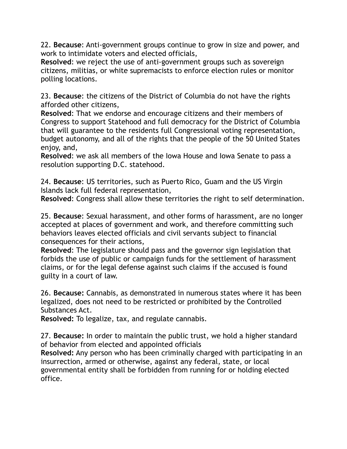22. **Because**: Anti-government groups continue to grow in size and power, and work to intimidate voters and elected officials,

**Resolved**: we reject the use of anti-government groups such as sovereign citizens, militias, or white supremacists to enforce election rules or monitor polling locations.

23. **Because**: the citizens of the District of Columbia do not have the rights afforded other citizens,

**Resolved**: That we endorse and encourage citizens and their members of Congress to support Statehood and full democracy for the District of Columbia that will guarantee to the residents full Congressional voting representation, budget autonomy, and all of the rights that the people of the 50 United States enjoy, and,

**Resolved**: we ask all members of the Iowa House and Iowa Senate to pass a resolution supporting D.C. statehood.

24. **Because**: US territories, such as Puerto Rico, Guam and the US Virgin Islands lack full federal representation,

**Resolved**: Congress shall allow these territories the right to self determination.

25. **Because**: Sexual harassment, and other forms of harassment, are no longer accepted at places of government and work, and therefore committing such behaviors leaves elected officials and civil servants subject to financial consequences for their actions,

**Resolved**: The legislature should pass and the governor sign legislation that forbids the use of public or campaign funds for the settlement of harassment claims, or for the legal defense against such claims if the accused is found guilty in a court of law.

26. **Because:** Cannabis, as demonstrated in numerous states where it has been legalized, does not need to be restricted or prohibited by the Controlled Substances Act.

**Resolved:** To legalize, tax, and regulate cannabis.

27. **Because:** In order to maintain the public trust, we hold a higher standard of behavior from elected and appointed officials

**Resolved:** Any person who has been criminally charged with participating in an insurrection, armed or otherwise, against any federal, state, or local governmental entity shall be forbidden from running for or holding elected office.